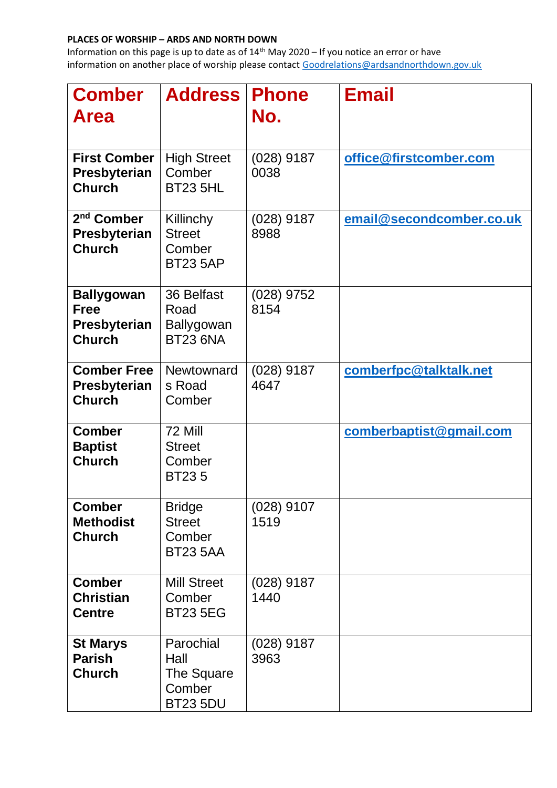## **PLACES OF WORSHIP – ARDS AND NORTH DOWN**

Information on this page is up to date as of  $14<sup>th</sup>$  May 2020 – If you notice an error or have information on another place of worship please contact [Goodrelations@ardsandnorthdown.gov.uk](about:blank)

| <b>Comber</b><br><b>Area</b>                                      | <b>Address</b>                                               | <b>Phone</b><br>No.  | <b>Email</b>             |
|-------------------------------------------------------------------|--------------------------------------------------------------|----------------------|--------------------------|
| <b>First Comber</b><br><b>Presbyterian</b><br><b>Church</b>       | <b>High Street</b><br>Comber<br><b>BT23 5HL</b>              | $(028)$ 9187<br>0038 | office@firstcomber.com   |
| 2 <sup>nd</sup> Comber<br><b>Presbyterian</b><br><b>Church</b>    | Killinchy<br><b>Street</b><br>Comber<br><b>BT23 5AP</b>      | $(028)$ 9187<br>8988 | email@secondcomber.co.uk |
| <b>Ballygowan</b><br><b>Free</b><br>Presbyterian<br><b>Church</b> | 36 Belfast<br>Road<br>Ballygowan<br><b>BT23 6NA</b>          | $(028)$ 9752<br>8154 |                          |
| <b>Comber Free</b><br>Presbyterian<br><b>Church</b>               | Newtownard<br>s Road<br>Comber                               | $(028)$ 9187<br>4647 | comberfpc@talktalk.net   |
| <b>Comber</b><br><b>Baptist</b><br><b>Church</b>                  | 72 Mill<br><b>Street</b><br>Comber<br><b>BT235</b>           |                      | comberbaptist@gmail.com  |
| <b>Comber</b><br><b>Methodist</b><br><b>Church</b>                | <b>Bridge</b><br><b>Street</b><br>Comber<br><b>BT23 5AA</b>  | $(028)$ 9107<br>1519 |                          |
| <b>Comber</b><br><b>Christian</b><br><b>Centre</b>                | <b>Mill Street</b><br>Comber<br><b>BT23 5EG</b>              | $(028)$ 9187<br>1440 |                          |
| <b>St Marys</b><br><b>Parish</b><br><b>Church</b>                 | Parochial<br>Hall<br>The Square<br>Comber<br><b>BT23 5DU</b> | $(028)$ 9187<br>3963 |                          |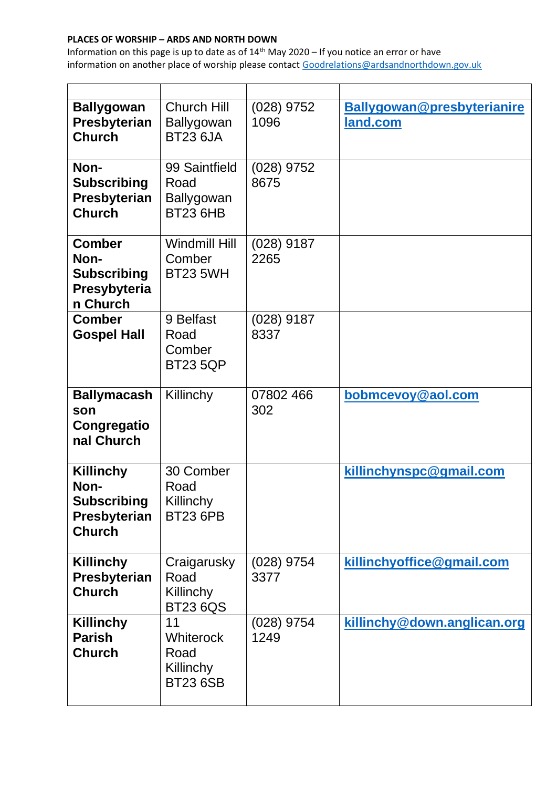## **PLACES OF WORSHIP – ARDS AND NORTH DOWN**

Information on this page is up to date as of  $14<sup>th</sup>$  May 2020 – If you notice an error or have information on another place of worship please contact [Goodrelations@ardsandnorthdown.gov.uk](about:blank)

| <b>Ballygowan</b><br>Presbyterian<br><b>Church</b>                              | <b>Church Hill</b><br>Ballygowan<br><b>BT23 6JA</b>            | $(028)$ 9752<br>1096 | Ballygowan@presbyterianire<br><u>land.com</u> |
|---------------------------------------------------------------------------------|----------------------------------------------------------------|----------------------|-----------------------------------------------|
| Non-<br><b>Subscribing</b><br>Presbyterian<br><b>Church</b>                     | 99 Saintfield<br>Road<br>Ballygowan<br><b>BT23 6HB</b>         | $(028)$ 9752<br>8675 |                                               |
| <b>Comber</b><br>Non-<br><b>Subscribing</b><br>Presybyteria<br>n Church         | <b>Windmill Hill</b><br>Comber<br><b>BT23 5WH</b>              | $(028)$ 9187<br>2265 |                                               |
| <b>Comber</b><br><b>Gospel Hall</b>                                             | 9 Belfast<br>Road<br>Comber<br><b>BT23 5QP</b>                 | $(028)$ 9187<br>8337 |                                               |
| <b>Ballymacash</b><br>son<br>Congregatio<br>nal Church                          | Killinchy                                                      | 07802 466<br>302     | bobmcevoy@aol.com                             |
| <b>Killinchy</b><br>Non-<br><b>Subscribing</b><br>Presbyterian<br><b>Church</b> | 30 Comber<br>Road<br>Killinchy<br><b>BT23 6PB</b>              |                      | killinchynspc@gmail.com                       |
| Killinchy<br>Presbyterian<br><b>Church</b>                                      | Craigarusky<br>Road<br>Killinchy<br><b>BT23 6QS</b>            | $(028)$ 9754<br>3377 | killinchyoffice@gmail.com                     |
| <b>Killinchy</b><br><b>Parish</b><br><b>Church</b>                              | 11<br><b>Whiterock</b><br>Road<br>Killinchy<br><b>BT23 6SB</b> | (028) 9754<br>1249   | killinchy@down.anglican.org                   |